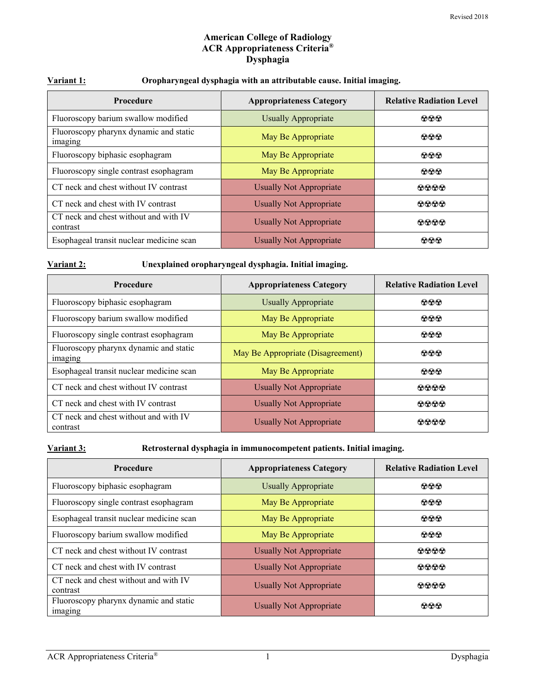# **American College of Radiology ACR Appropriateness Criteria® Dysphagia**

| Variant 1: |  |
|------------|--|
|            |  |

# **Variant 1: Oropharyngeal dysphagia with an attributable cause. Initial imaging.**

| <b>Procedure</b>                                  | <b>Appropriateness Category</b> | <b>Relative Radiation Level</b> |
|---------------------------------------------------|---------------------------------|---------------------------------|
| Fluoroscopy barium swallow modified               | <b>Usually Appropriate</b>      | $\Omega$ $\Omega$ $\Omega$      |
| Fluoroscopy pharynx dynamic and static<br>imaging | May Be Appropriate              | $\Omega$ $\Omega$ $\Omega$      |
| Fluoroscopy biphasic esophagram                   | May Be Appropriate              | $\Omega$ $\Omega$ $\Omega$      |
| Fluoroscopy single contrast esophagram            | May Be Appropriate              | $\Omega$ $\Omega$ $\Omega$      |
| CT neck and chest without IV contrast             | <b>Usually Not Appropriate</b>  | $\Omega$ $\Omega$ $\Omega$      |
| CT neck and chest with IV contrast                | <b>Usually Not Appropriate</b>  | 0000                            |
| CT neck and chest without and with IV<br>contrast | <b>Usually Not Appropriate</b>  | $\Omega$ $\Omega$ $\Omega$      |
| Esophageal transit nuclear medicine scan          | <b>Usually Not Appropriate</b>  | $\Omega$ $\Omega$               |

#### **Variant 2: Unexplained oropharyngeal dysphagia. Initial imaging.**

| Procedure                                         | <b>Appropriateness Category</b>   | <b>Relative Radiation Level</b> |
|---------------------------------------------------|-----------------------------------|---------------------------------|
| Fluoroscopy biphasic esophagram                   | <b>Usually Appropriate</b>        | $\Omega$ $\Omega$               |
| Fluoroscopy barium swallow modified               | May Be Appropriate                | $\Omega$ $\Omega$ $\Omega$      |
| Fluoroscopy single contrast esophagram            | May Be Appropriate                | $\odot \odot \odot$             |
| Fluoroscopy pharynx dynamic and static<br>imaging | May Be Appropriate (Disagreement) | $\Omega$ $\Omega$ $\Omega$      |
| Esophageal transit nuclear medicine scan          | May Be Appropriate                | $\Omega$ $\Omega$               |
| CT neck and chest without IV contrast             | <b>Usually Not Appropriate</b>    | 0000                            |
| CT neck and chest with IV contrast                | Usually Not Appropriate           | $\Omega$ $\Omega$ $\Omega$      |
| CT neck and chest without and with IV<br>contrast | <b>Usually Not Appropriate</b>    | 00000                           |

**Variant 3: Retrosternal dysphagia in immunocompetent patients. Initial imaging.**

| <b>Procedure</b>                                  | <b>Appropriateness Category</b> | <b>Relative Radiation Level</b> |
|---------------------------------------------------|---------------------------------|---------------------------------|
| Fluoroscopy biphasic esophagram                   | <b>Usually Appropriate</b>      | $\odot \odot \odot$             |
| Fluoroscopy single contrast esophagram            | May Be Appropriate              | $\odot \odot \odot$             |
| Esophageal transit nuclear medicine scan          | May Be Appropriate              | $\odot \odot \odot$             |
| Fluoroscopy barium swallow modified               | May Be Appropriate              | $\odot \odot \odot$             |
| CT neck and chest without IV contrast             | <b>Usually Not Appropriate</b>  | 0000                            |
| CT neck and chest with IV contrast                | <b>Usually Not Appropriate</b>  | $\bullet\bullet\bullet\bullet$  |
| CT neck and chest without and with IV<br>contrast | <b>Usually Not Appropriate</b>  | 0000                            |
| Fluoroscopy pharynx dynamic and static<br>imaging | <b>Usually Not Appropriate</b>  | $\Omega$ $\Omega$ $\Omega$      |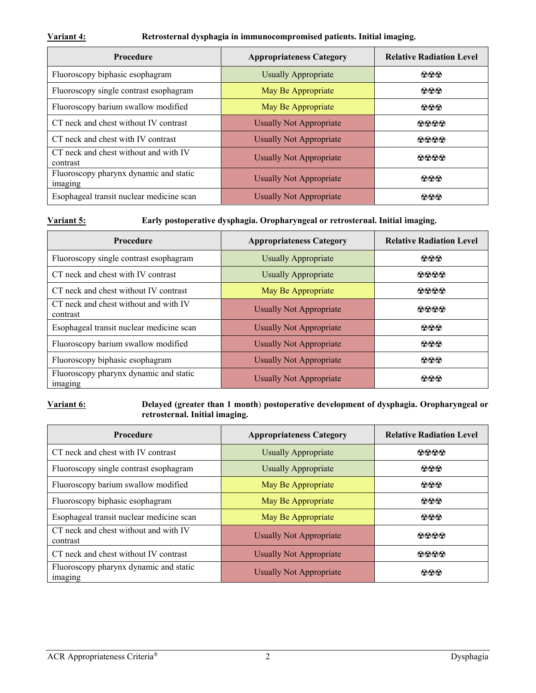#### **Variant 4: Retrosternal dysphagia in immunocompromised patients. Initial imaging.**

| <b>Procedure</b>                                  | <b>Appropriateness Category</b> | <b>Relative Radiation Level</b> |
|---------------------------------------------------|---------------------------------|---------------------------------|
| Fluoroscopy biphasic esophagram                   | <b>Usually Appropriate</b>      | $\odot \odot \odot$             |
| Fluoroscopy single contrast esophagram            | May Be Appropriate              | $\Omega$ $\Omega$               |
| Fluoroscopy barium swallow modified               | May Be Appropriate              | $\odot \odot \odot$             |
| CT neck and chest without IV contrast             | <b>Usually Not Appropriate</b>  | 0000                            |
| CT neck and chest with IV contrast                | <b>Usually Not Appropriate</b>  | 0000                            |
| CT neck and chest without and with IV<br>contrast | <b>Usually Not Appropriate</b>  | $\Omega$ $\Omega$ $\Omega$      |
| Fluoroscopy pharynx dynamic and static<br>imaging | Usually Not Appropriate         | $\odot \odot \odot$             |
| Esophageal transit nuclear medicine scan          | <b>Usually Not Appropriate</b>  | $\Omega$ $\Omega$               |

**Variant 5: Early postoperative dysphagia. Oropharyngeal or retrosternal. Initial imaging.**

| <b>Procedure</b>                                  | <b>Appropriateness Category</b><br><b>Relative Radiation Level</b> |                     |
|---------------------------------------------------|--------------------------------------------------------------------|---------------------|
| Fluoroscopy single contrast esophagram            | <b>Usually Appropriate</b>                                         | $\odot \odot \odot$ |
| CT neck and chest with IV contrast                | <b>Usually Appropriate</b>                                         | 0000                |
| CT neck and chest without IV contrast             | May Be Appropriate                                                 | 0000                |
| CT neck and chest without and with IV<br>contrast | <b>Usually Not Appropriate</b>                                     | 0000                |
| Esophageal transit nuclear medicine scan          | Usually Not Appropriate                                            | $\odot\odot\odot$   |
| Fluoroscopy barium swallow modified               | <b>Usually Not Appropriate</b>                                     | $\odot \odot \odot$ |
| Fluoroscopy biphasic esophagram                   | <b>Usually Not Appropriate</b>                                     | $\odot\odot\odot$   |
| Fluoroscopy pharynx dynamic and static<br>imaging | Usually Not Appropriate                                            | കൈക                 |

**Variant 6: Delayed (greater than 1 month**) **postoperative development of dysphagia. Oropharyngeal or retrosternal. Initial imaging.**

| <b>Procedure</b>                                  | <b>Appropriateness Category</b> | <b>Relative Radiation Level</b> |
|---------------------------------------------------|---------------------------------|---------------------------------|
| CT neck and chest with IV contrast                | <b>Usually Appropriate</b>      | $\Omega$ $\Omega$ $\Omega$      |
| Fluoroscopy single contrast esophagram            | <b>Usually Appropriate</b>      | $\odot \odot \odot$             |
| Fluoroscopy barium swallow modified               | May Be Appropriate              | $\odot\odot\odot$               |
| Fluoroscopy biphasic esophagram                   | May Be Appropriate              | $\odot\odot\odot$               |
| Esophageal transit nuclear medicine scan          | May Be Appropriate              | $\odot\odot\odot$               |
| CT neck and chest without and with IV<br>contrast | <b>Usually Not Appropriate</b>  | 0000                            |
| CT neck and chest without IV contrast             | Usually Not Appropriate         | 0000                            |
| Fluoroscopy pharynx dynamic and static<br>imaging | <b>Usually Not Appropriate</b>  | $\Omega$ $\Omega$               |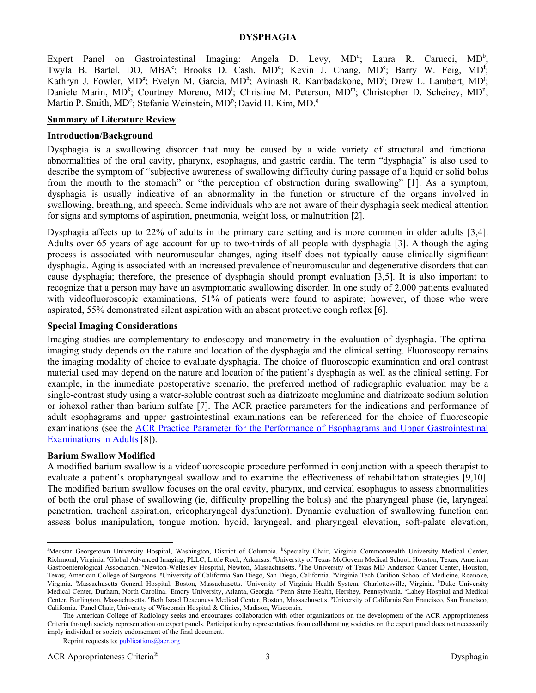#### **DYSPHAGIA**

Expert P[a](#page-2-0)nel on Gastrointestinal Imaging: Angela D. Levy, MD<sup>a</sup>; Laura R. Carucci, MD<sup>b</sup>; Twyla B. Bartel, DO, MBA<sup>c</sup>; Brooks D. Cash, MD<sup>d</sup>; Kevin J. Chang, MD<sup>e</sup>; Barry W. Feig, MD<sup>f</sup>; Kathryn J. Fowler, MD<sup>g</sup>; Evelyn M. Garcia, MD<sup>h</sup>; Avinash R. Kambadakone, MD<sup>i</sup>; Drew L. Lambert, MD<sup>j</sup>; Daniele Marin, MD<sup>k</sup>; Courtney Moreno, MD<sup>1</sup>; Christine M. Peterson, MD<sup>m</sup>; Christopher D. Scheirey, MD<sup>n</sup>; Martin P. Smith, MD°; Stefanie Weinstein, MD<sup>p</sup>; David H. Kim, MD.<sup>q</sup>

### **Summary of Literature Review**

#### **Introduction/Background**

Dysphagia is a swallowing disorder that may be caused by a wide variety of structural and functional abnormalities of the oral cavity, pharynx, esophagus, and gastric cardia. The term "dysphagia" is also used to describe the symptom of "subjective awareness of swallowing difficulty during passage of a liquid or solid bolus from the mouth to the stomach" or "the perception of obstruction during swallowing" [\[1\]](#page-10-0). As a symptom, dysphagia is usually indicative of an abnormality in the function or structure of the organs involved in swallowing, breathing, and speech. Some individuals who are not aware of their dysphagia seek medical attention for signs and symptoms of aspiration, pneumonia, weight loss, or malnutrition [\[2\]](#page-10-1).

Dysphagia affects up to 22% of adults in the primary care setting and is more common in older adults [\[3,](#page-11-0)[4\]](#page-11-1). Adults over 65 years of age account for up to two-thirds of all people with dysphagia [\[3\]](#page-11-0). Although the aging process is associated with neuromuscular changes, aging itself does not typically cause clinically significant dysphagia. Aging is associated with an increased prevalence of neuromuscular and degenerative disorders that can cause dysphagia; therefore, the presence of dysphagia should prompt evaluation [\[3](#page-11-0)[,5\]](#page-11-2). It is also important to recognize that a person may have an asymptomatic swallowing disorder. In one study of 2,000 patients evaluated with videofluoroscopic examinations, 51% of patients were found to aspirate; however, of those who were aspirated, 55% demonstrated silent aspiration with an absent protective cough reflex [\[6\]](#page-11-3).

#### **Special Imaging Considerations**

Imaging studies are complementary to endoscopy and manometry in the evaluation of dysphagia. The optimal imaging study depends on the nature and location of the dysphagia and the clinical setting. Fluoroscopy remains the imaging modality of choice to evaluate dysphagia. The choice of fluoroscopic examination and oral contrast material used may depend on the nature and location of the patient's dysphagia as well as the clinical setting. For example, in the immediate postoperative scenario, the preferred method of radiographic evaluation may be a single-contrast study using a water-soluble contrast such as diatrizoate meglumine and diatrizoate sodium solution or iohexol rather than barium sulfate [\[7\]](#page-11-4). The ACR practice parameters for the indications and performance of adult esophagrams and upper gastrointestinal examinations can be referenced for the choice of fluoroscopic examinations (see the [ACR Practice Parameter for the Performance of Esophagrams and Upper](https://www.acr.org/-/media/ACR/Files/Practice-Parameters/UpperGIAdults.pdf) Gastrointestinal [Examinations in Adults](https://www.acr.org/-/media/ACR/Files/Practice-Parameters/UpperGIAdults.pdf) [\[8\]](#page-11-5)).

### **Barium Swallow Modified**

A modified barium swallow is a videofluoroscopic procedure performed in conjunction with a speech therapist to evaluate a patient's oropharyngeal swallow and to examine the effectiveness of rehabilitation strategies [\[9](#page-11-6)[,10\]](#page-11-7). The modified barium swallow focuses on the oral cavity, pharynx, and cervical esophagus to assess abnormalities of both the oral phase of swallowing (ie, difficulty propelling the bolus) and the pharyngeal phase (ie, laryngeal penetration, tracheal aspiration, cricopharyngeal dysfunction). Dynamic evaluation of swallowing function can assess bolus manipulation, tongue motion, hyoid, laryngeal, and pharyngeal elevation, soft-palate elevation,

<span id="page-2-0"></span>l<br>a Medstar Georgetown University Hospital, Washington, District of Columbia. <sup>b</sup>Specialty Chair, Virginia Commonwealth University Medical Center, Richmond, Virginia. "Global Advanced Imaging, PLLC, Little Rock, Arkansas. <sup>d</sup>University of Texas McGovern Medical School, Houston, Texas; American Gastroenterological Association. <sup>e</sup>Newton-Wellesley Hospital, Newton, Massachusetts. <sup>*f*</sup>The University of Texas MD Anderson Cancer Center, Houston, Texas; American College of Surgeons. <sup>g</sup>University of California San Diego, San Diego, California. <sup>h</sup>Virginia Tech Carilion School of Medicine, Roanoke, Virginia. 'Massachusetts General Hospital, Boston, Massachusetts. <sup>j</sup>University of Virginia Health System, Charlottesville, Virginia. <sup>k</sup>Duke University Medical Center, Durham, North Carolina. <sup>I</sup>Emory University, Atlanta, Georgia. "Penn State Health, Hershey, Pennsylvania. "Lahey Hospital and Medical Center, Burlington, Massachusetts. <sup>o</sup>Beth Israel Deaconess Medical Center, Boston, Massachusetts. <sup>p</sup>University of California San Francisco, San Francisco, California. <sup>q</sup>Panel Chair, University of Wisconsin Hospital & Clinics, Madison, Wisconsin.

The American College of Radiology seeks and encourages collaboration with other organizations on the development of the ACR Appropriateness Criteria through society representation on expert panels. Participation by representatives from collaborating societies on the expert panel does not necessarily imply individual or society endorsement of the final document.

Reprint requests to[: publications@acr.org](mailto:publications@acr.org)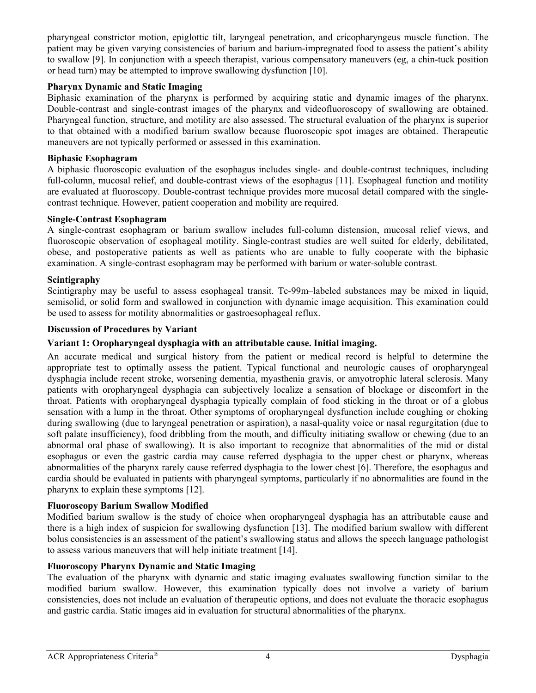pharyngeal constrictor motion, epiglottic tilt, laryngeal penetration, and cricopharyngeus muscle function. The patient may be given varying consistencies of barium and barium-impregnated food to assess the patient's ability to swallow [\[9\]](#page-11-6). In conjunction with a speech therapist, various compensatory maneuvers (eg, a chin-tuck position or head turn) may be attempted to improve swallowing dysfunction [\[10\]](#page-11-7).

# **Pharynx Dynamic and Static Imaging**

Biphasic examination of the pharynx is performed by acquiring static and dynamic images of the pharynx. Double-contrast and single-contrast images of the pharynx and videofluoroscopy of swallowing are obtained. Pharyngeal function, structure, and motility are also assessed. The structural evaluation of the pharynx is superior to that obtained with a modified barium swallow because fluoroscopic spot images are obtained. Therapeutic maneuvers are not typically performed or assessed in this examination.

# **Biphasic Esophagram**

A biphasic fluoroscopic evaluation of the esophagus includes single- and double-contrast techniques, including full-column, mucosal relief, and double-contrast views of the esophagus [\[11\]](#page-11-8). Esophageal function and motility are evaluated at fluoroscopy. Double-contrast technique provides more mucosal detail compared with the singlecontrast technique. However, patient cooperation and mobility are required.

## **Single-Contrast Esophagram**

A single-contrast esophagram or barium swallow includes full-column distension, mucosal relief views, and fluoroscopic observation of esophageal motility. Single-contrast studies are well suited for elderly, debilitated, obese, and postoperative patients as well as patients who are unable to fully cooperate with the biphasic examination. A single-contrast esophagram may be performed with barium or water-soluble contrast.

# **Scintigraphy**

Scintigraphy may be useful to assess esophageal transit. Tc-99m–labeled substances may be mixed in liquid, semisolid, or solid form and swallowed in conjunction with dynamic image acquisition. This examination could be used to assess for motility abnormalities or gastroesophageal reflux.

## **Discussion of Procedures by Variant**

## **Variant 1: Oropharyngeal dysphagia with an attributable cause. Initial imaging.**

An accurate medical and surgical history from the patient or medical record is helpful to determine the appropriate test to optimally assess the patient. Typical functional and neurologic causes of oropharyngeal dysphagia include recent stroke, worsening dementia, myasthenia gravis, or amyotrophic lateral sclerosis. Many patients with oropharyngeal dysphagia can subjectively localize a sensation of blockage or discomfort in the throat. Patients with oropharyngeal dysphagia typically complain of food sticking in the throat or of a globus sensation with a lump in the throat. Other symptoms of oropharyngeal dysfunction include coughing or choking during swallowing (due to laryngeal penetration or aspiration), a nasal-quality voice or nasal regurgitation (due to soft palate insufficiency), food dribbling from the mouth, and difficulty initiating swallow or chewing (due to an abnormal oral phase of swallowing). It is also important to recognize that abnormalities of the mid or distal esophagus or even the gastric cardia may cause referred dysphagia to the upper chest or pharynx, whereas abnormalities of the pharynx rarely cause referred dysphagia to the lower chest [\[6\]](#page-11-3). Therefore, the esophagus and cardia should be evaluated in patients with pharyngeal symptoms, particularly if no abnormalities are found in the pharynx to explain these symptoms [\[12\]](#page-11-9).

### **Fluoroscopy Barium Swallow Modified**

Modified barium swallow is the study of choice when oropharyngeal dysphagia has an attributable cause and there is a high index of suspicion for swallowing dysfunction [\[13\]](#page-11-10). The modified barium swallow with different bolus consistencies is an assessment of the patient's swallowing status and allows the speech language pathologist to assess various maneuvers that will help initiate treatment [\[14\]](#page-11-11).

### **Fluoroscopy Pharynx Dynamic and Static Imaging**

The evaluation of the pharynx with dynamic and static imaging evaluates swallowing function similar to the modified barium swallow. However, this examination typically does not involve a variety of barium consistencies, does not include an evaluation of therapeutic options, and does not evaluate the thoracic esophagus and gastric cardia. Static images aid in evaluation for structural abnormalities of the pharynx.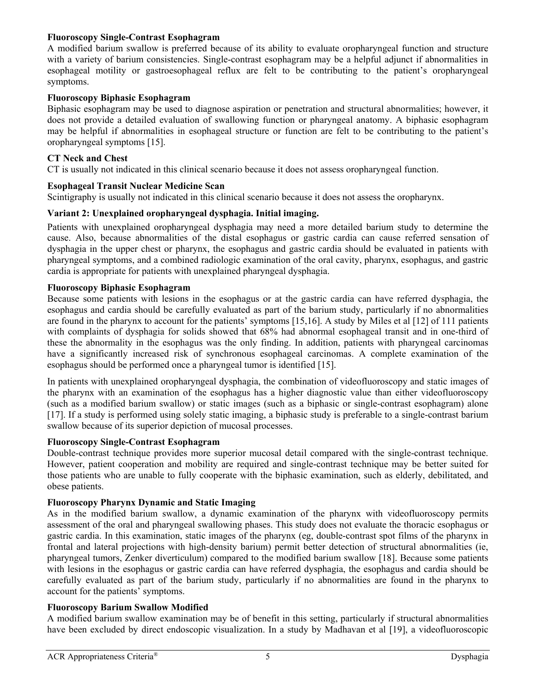# **Fluoroscopy Single-Contrast Esophagram**

A modified barium swallow is preferred because of its ability to evaluate oropharyngeal function and structure with a variety of barium consistencies. Single-contrast esophagram may be a helpful adjunct if abnormalities in esophageal motility or gastroesophageal reflux are felt to be contributing to the patient's oropharyngeal symptoms.

# **Fluoroscopy Biphasic Esophagram**

Biphasic esophagram may be used to diagnose aspiration or penetration and structural abnormalities; however, it does not provide a detailed evaluation of swallowing function or pharyngeal anatomy. A biphasic esophagram may be helpful if abnormalities in esophageal structure or function are felt to be contributing to the patient's oropharyngeal symptoms [\[15\]](#page-11-12).

## **CT Neck and Chest**

CT is usually not indicated in this clinical scenario because it does not assess oropharyngeal function.

## **Esophageal Transit Nuclear Medicine Scan**

Scintigraphy is usually not indicated in this clinical scenario because it does not assess the oropharynx.

# **Variant 2: Unexplained oropharyngeal dysphagia. Initial imaging.**

Patients with unexplained oropharyngeal dysphagia may need a more detailed barium study to determine the cause. Also, because abnormalities of the distal esophagus or gastric cardia can cause referred sensation of dysphagia in the upper chest or pharynx, the esophagus and gastric cardia should be evaluated in patients with pharyngeal symptoms, and a combined radiologic examination of the oral cavity, pharynx, esophagus, and gastric cardia is appropriate for patients with unexplained pharyngeal dysphagia.

## **Fluoroscopy Biphasic Esophagram**

Because some patients with lesions in the esophagus or at the gastric cardia can have referred dysphagia, the esophagus and cardia should be carefully evaluated as part of the barium study, particularly if no abnormalities are found in the pharynx to account for the patients' symptoms [\[15,](#page-11-12)[16\]](#page-11-13). A study by Miles et al [\[12\]](#page-11-9) of 111 patients with complaints of dysphagia for solids showed that 68% had abnormal esophageal transit and in one-third of these the abnormality in the esophagus was the only finding. In addition, patients with pharyngeal carcinomas have a significantly increased risk of synchronous esophageal carcinomas. A complete examination of the esophagus should be performed once a pharyngeal tumor is identified [\[15\]](#page-11-12).

In patients with unexplained oropharyngeal dysphagia, the combination of videofluoroscopy and static images of the pharynx with an examination of the esophagus has a higher diagnostic value than either videofluoroscopy (such as a modified barium swallow) or static images (such as a biphasic or single-contrast esophagram) alone [\[17\]](#page-11-14). If a study is performed using solely static imaging, a biphasic study is preferable to a single-contrast barium swallow because of its superior depiction of mucosal processes.

### **Fluoroscopy Single-Contrast Esophagram**

Double-contrast technique provides more superior mucosal detail compared with the single-contrast technique. However, patient cooperation and mobility are required and single-contrast technique may be better suited for those patients who are unable to fully cooperate with the biphasic examination, such as elderly, debilitated, and obese patients.

### **Fluoroscopy Pharynx Dynamic and Static Imaging**

As in the modified barium swallow, a dynamic examination of the pharynx with videofluoroscopy permits assessment of the oral and pharyngeal swallowing phases. This study does not evaluate the thoracic esophagus or gastric cardia. In this examination, static images of the pharynx (eg, double-contrast spot films of the pharynx in frontal and lateral projections with high-density barium) permit better detection of structural abnormalities (ie, pharyngeal tumors, Zenker diverticulum) compared to the modified barium swallow [\[18\]](#page-11-15). Because some patients with lesions in the esophagus or gastric cardia can have referred dysphagia, the esophagus and cardia should be carefully evaluated as part of the barium study, particularly if no abnormalities are found in the pharynx to account for the patients' symptoms.

# **Fluoroscopy Barium Swallow Modified**

A modified barium swallow examination may be of benefit in this setting, particularly if structural abnormalities have been excluded by direct endoscopic visualization. In a study by Madhavan et al [\[19\]](#page-11-16), a videofluoroscopic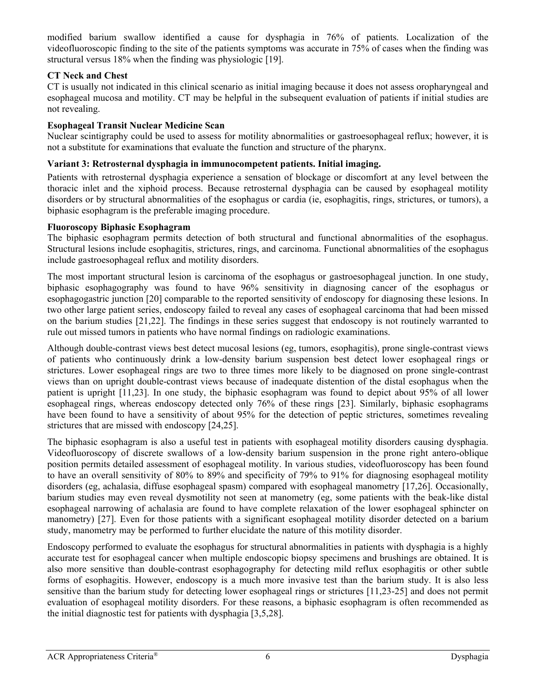modified barium swallow identified a cause for dysphagia in 76% of patients. Localization of the videofluoroscopic finding to the site of the patients symptoms was accurate in 75% of cases when the finding was structural versus 18% when the finding was physiologic [\[19\]](#page-11-16).

# **CT Neck and Chest**

CT is usually not indicated in this clinical scenario as initial imaging because it does not assess oropharyngeal and esophageal mucosa and motility. CT may be helpful in the subsequent evaluation of patients if initial studies are not revealing.

# **Esophageal Transit Nuclear Medicine Scan**

Nuclear scintigraphy could be used to assess for motility abnormalities or gastroesophageal reflux; however, it is not a substitute for examinations that evaluate the function and structure of the pharynx.

# **Variant 3: Retrosternal dysphagia in immunocompetent patients. Initial imaging.**

Patients with retrosternal dysphagia experience a sensation of blockage or discomfort at any level between the thoracic inlet and the xiphoid process. Because retrosternal dysphagia can be caused by esophageal motility disorders or by structural abnormalities of the esophagus or cardia (ie, esophagitis, rings, strictures, or tumors), a biphasic esophagram is the preferable imaging procedure.

# **Fluoroscopy Biphasic Esophagram**

The biphasic esophagram permits detection of both structural and functional abnormalities of the esophagus. Structural lesions include esophagitis, strictures, rings, and carcinoma. Functional abnormalities of the esophagus include gastroesophageal reflux and motility disorders.

The most important structural lesion is carcinoma of the esophagus or gastroesophageal junction. In one study, biphasic esophagography was found to have 96% sensitivity in diagnosing cancer of the esophagus or esophagogastric junction [\[20\]](#page-11-17) comparable to the reported sensitivity of endoscopy for diagnosing these lesions. In two other large patient series, endoscopy failed to reveal any cases of esophageal carcinoma that had been missed on the barium studies [\[21](#page-11-18)[,22\]](#page-11-19). The findings in these series suggest that endoscopy is not routinely warranted to rule out missed tumors in patients who have normal findings on radiologic examinations.

Although double-contrast views best detect mucosal lesions (eg, tumors, esophagitis), prone single-contrast views of patients who continuously drink a low-density barium suspension best detect lower esophageal rings or strictures. Lower esophageal rings are two to three times more likely to be diagnosed on prone single-contrast views than on upright double-contrast views because of inadequate distention of the distal esophagus when the patient is upright [\[11](#page-11-8)[,23\]](#page-11-20). In one study, the biphasic esophagram was found to depict about 95% of all lower esophageal rings, whereas endoscopy detected only 76% of these rings [\[23\]](#page-11-20). Similarly, biphasic esophagrams have been found to have a sensitivity of about 95% for the detection of peptic strictures, sometimes revealing strictures that are missed with endoscopy [\[24,](#page-11-21)[25\]](#page-11-22).

The biphasic esophagram is also a useful test in patients with esophageal motility disorders causing dysphagia. Videofluoroscopy of discrete swallows of a low-density barium suspension in the prone right antero-oblique position permits detailed assessment of esophageal motility. In various studies, videofluoroscopy has been found to have an overall sensitivity of 80% to 89% and specificity of 79% to 91% for diagnosing esophageal motility disorders (eg, achalasia, diffuse esophageal spasm) compared with esophageal manometry [\[17,](#page-11-14)[26\]](#page-11-23). Occasionally, barium studies may even reveal dysmotility not seen at manometry (eg, some patients with the beak-like distal esophageal narrowing of achalasia are found to have complete relaxation of the lower esophageal sphincter on manometry) [\[27\]](#page-11-24). Even for those patients with a significant esophageal motility disorder detected on a barium study, manometry may be performed to further elucidate the nature of this motility disorder.

Endoscopy performed to evaluate the esophagus for structural abnormalities in patients with dysphagia is a highly accurate test for esophageal cancer when multiple endoscopic biopsy specimens and brushings are obtained. It is also more sensitive than double-contrast esophagography for detecting mild reflux esophagitis or other subtle forms of esophagitis. However, endoscopy is a much more invasive test than the barium study. It is also less sensitive than the barium study for detecting lower esophageal rings or strictures [\[11,](#page-11-8)[23-25\]](#page-11-20) and does not permit evaluation of esophageal motility disorders. For these reasons, a biphasic esophagram is often recommended as the initial diagnostic test for patients with dysphagia [\[3](#page-11-0)[,5](#page-11-2)[,28\]](#page-11-25).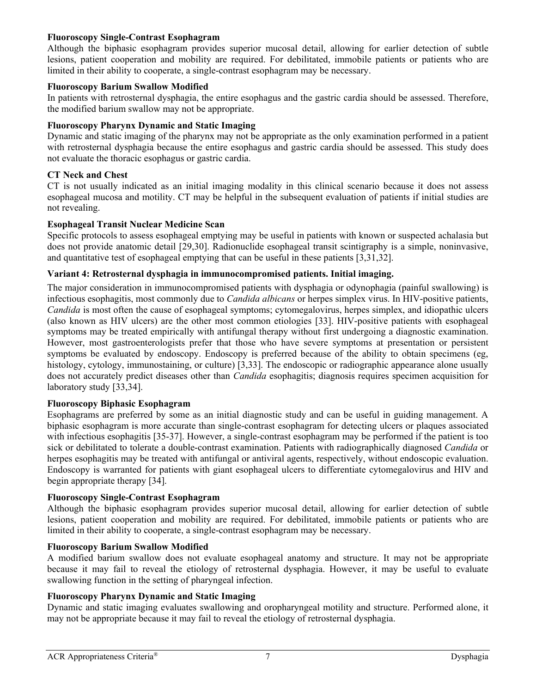# **Fluoroscopy Single-Contrast Esophagram**

Although the biphasic esophagram provides superior mucosal detail, allowing for earlier detection of subtle lesions, patient cooperation and mobility are required. For debilitated, immobile patients or patients who are limited in their ability to cooperate, a single-contrast esophagram may be necessary.

## **Fluoroscopy Barium Swallow Modified**

In patients with retrosternal dysphagia, the entire esophagus and the gastric cardia should be assessed. Therefore, the modified barium swallow may not be appropriate.

# **Fluoroscopy Pharynx Dynamic and Static Imaging**

Dynamic and static imaging of the pharynx may not be appropriate as the only examination performed in a patient with retrosternal dysphagia because the entire esophagus and gastric cardia should be assessed. This study does not evaluate the thoracic esophagus or gastric cardia.

## **CT Neck and Chest**

CT is not usually indicated as an initial imaging modality in this clinical scenario because it does not assess esophageal mucosa and motility. CT may be helpful in the subsequent evaluation of patients if initial studies are not revealing.

## **Esophageal Transit Nuclear Medicine Scan**

Specific protocols to assess esophageal emptying may be useful in patients with known or suspected achalasia but does not provide anatomic detail [\[29,](#page-11-26)[30\]](#page-12-0). Radionuclide esophageal transit scintigraphy is a simple, noninvasive, and quantitative test of esophageal emptying that can be useful in these patients [\[3](#page-11-0)[,31](#page-12-1)[,32\]](#page-12-2).

# **Variant 4: Retrosternal dysphagia in immunocompromised patients. Initial imaging.**

The major consideration in immunocompromised patients with dysphagia or odynophagia (painful swallowing) is infectious esophagitis, most commonly due to *Candida albicans* or herpes simplex virus. In HIV-positive patients, *Candida* is most often the cause of esophageal symptoms; cytomegalovirus, herpes simplex, and idiopathic ulcers (also known as HIV ulcers) are the other most common etiologies [\[33\]](#page-12-3). HIV-positive patients with esophageal symptoms may be treated empirically with antifungal therapy without first undergoing a diagnostic examination. However, most gastroenterologists prefer that those who have severe symptoms at presentation or persistent symptoms be evaluated by endoscopy. Endoscopy is preferred because of the ability to obtain specimens (eg, histology, cytology, immunostaining, or culture) [\[3,](#page-11-0)[33\]](#page-12-3). The endoscopic or radiographic appearance alone usually does not accurately predict diseases other than *Candida* esophagitis; diagnosis requires specimen acquisition for laboratory study [\[33](#page-12-3)[,34\]](#page-12-4).

### **Fluoroscopy Biphasic Esophagram**

Esophagrams are preferred by some as an initial diagnostic study and can be useful in guiding management. A biphasic esophagram is more accurate than single-contrast esophagram for detecting ulcers or plaques associated with infectious esophagitis [\[35-37\]](#page-12-5). However, a single-contrast esophagram may be performed if the patient is too sick or debilitated to tolerate a double-contrast examination. Patients with radiographically diagnosed *Candida* or herpes esophagitis may be treated with antifungal or antiviral agents, respectively, without endoscopic evaluation. Endoscopy is warranted for patients with giant esophageal ulcers to differentiate cytomegalovirus and HIV and begin appropriate therapy [\[34\]](#page-12-4).

# **Fluoroscopy Single-Contrast Esophagram**

Although the biphasic esophagram provides superior mucosal detail, allowing for earlier detection of subtle lesions, patient cooperation and mobility are required. For debilitated, immobile patients or patients who are limited in their ability to cooperate, a single-contrast esophagram may be necessary.

### **Fluoroscopy Barium Swallow Modified**

A modified barium swallow does not evaluate esophageal anatomy and structure. It may not be appropriate because it may fail to reveal the etiology of retrosternal dysphagia. However, it may be useful to evaluate swallowing function in the setting of pharyngeal infection.

# **Fluoroscopy Pharynx Dynamic and Static Imaging**

Dynamic and static imaging evaluates swallowing and oropharyngeal motility and structure. Performed alone, it may not be appropriate because it may fail to reveal the etiology of retrosternal dysphagia.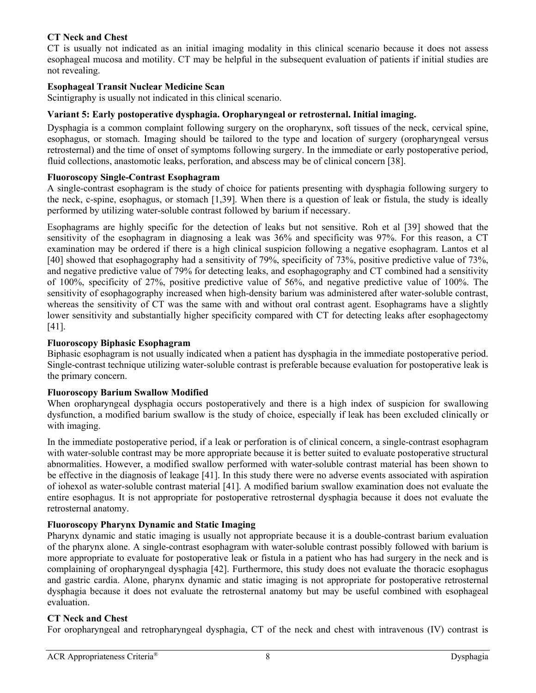# **CT Neck and Chest**

CT is usually not indicated as an initial imaging modality in this clinical scenario because it does not assess esophageal mucosa and motility. CT may be helpful in the subsequent evaluation of patients if initial studies are not revealing.

# **Esophageal Transit Nuclear Medicine Scan**

Scintigraphy is usually not indicated in this clinical scenario.

# **Variant 5: Early postoperative dysphagia. Oropharyngeal or retrosternal. Initial imaging.**

Dysphagia is a common complaint following surgery on the oropharynx, soft tissues of the neck, cervical spine, esophagus, or stomach. Imaging should be tailored to the type and location of surgery (oropharyngeal versus retrosternal) and the time of onset of symptoms following surgery. In the immediate or early postoperative period, fluid collections, anastomotic leaks, perforation, and abscess may be of clinical concern [\[38\]](#page-12-6).

## **Fluoroscopy Single-Contrast Esophagram**

A single-contrast esophagram is the study of choice for patients presenting with dysphagia following surgery to the neck, c-spine, esophagus, or stomach [\[1,](#page-10-0)[39\]](#page-12-7). When there is a question of leak or fistula, the study is ideally performed by utilizing water-soluble contrast followed by barium if necessary.

Esophagrams are highly specific for the detection of leaks but not sensitive. Roh et al [\[39\]](#page-12-7) showed that the sensitivity of the esophagram in diagnosing a leak was 36% and specificity was 97%. For this reason, a CT examination may be ordered if there is a high clinical suspicion following a negative esophagram. Lantos et al [\[40\]](#page-12-8) showed that esophagography had a sensitivity of 79%, specificity of 73%, positive predictive value of 73%, and negative predictive value of 79% for detecting leaks, and esophagography and CT combined had a sensitivity of 100%, specificity of 27%, positive predictive value of 56%, and negative predictive value of 100%. The sensitivity of esophagography increased when high-density barium was administered after water-soluble contrast, whereas the sensitivity of CT was the same with and without oral contrast agent. Esophagrams have a slightly lower sensitivity and substantially higher specificity compared with CT for detecting leaks after esophagectomy [\[41\]](#page-12-9).

# **Fluoroscopy Biphasic Esophagram**

Biphasic esophagram is not usually indicated when a patient has dysphagia in the immediate postoperative period. Single-contrast technique utilizing water-soluble contrast is preferable because evaluation for postoperative leak is the primary concern.

# **Fluoroscopy Barium Swallow Modified**

When oropharyngeal dysphagia occurs postoperatively and there is a high index of suspicion for swallowing dysfunction, a modified barium swallow is the study of choice, especially if leak has been excluded clinically or with imaging.

In the immediate postoperative period, if a leak or perforation is of clinical concern, a single-contrast esophagram with water-soluble contrast may be more appropriate because it is better suited to evaluate postoperative structural abnormalities. However, a modified swallow performed with water-soluble contrast material has been shown to be effective in the diagnosis of leakage [\[41\]](#page-12-9). In this study there were no adverse events associated with aspiration of iohexol as water-soluble contrast material [\[41\]](#page-12-9). A modified barium swallow examination does not evaluate the entire esophagus. It is not appropriate for postoperative retrosternal dysphagia because it does not evaluate the retrosternal anatomy.

# **Fluoroscopy Pharynx Dynamic and Static Imaging**

Pharynx dynamic and static imaging is usually not appropriate because it is a double-contrast barium evaluation of the pharynx alone. A single-contrast esophagram with water-soluble contrast possibly followed with barium is more appropriate to evaluate for postoperative leak or fistula in a patient who has had surgery in the neck and is complaining of oropharyngeal dysphagia [\[42\]](#page-12-10). Furthermore, this study does not evaluate the thoracic esophagus and gastric cardia. Alone, pharynx dynamic and static imaging is not appropriate for postoperative retrosternal dysphagia because it does not evaluate the retrosternal anatomy but may be useful combined with esophageal evaluation.

# **CT Neck and Chest**

For oropharyngeal and retropharyngeal dysphagia, CT of the neck and chest with intravenous (IV) contrast is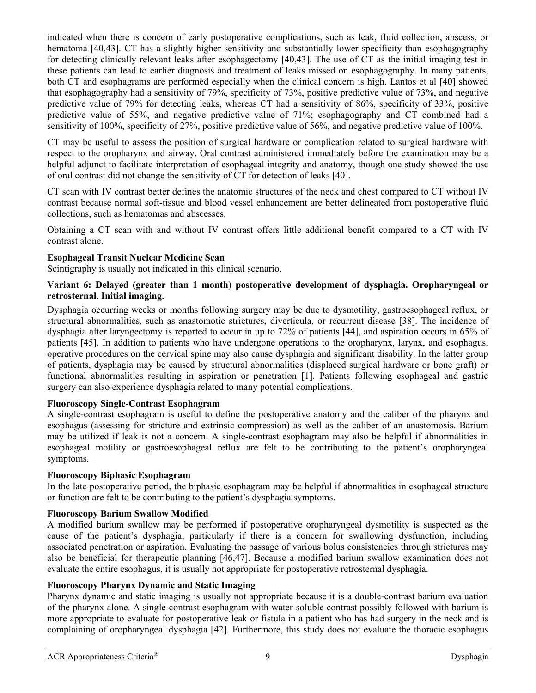indicated when there is concern of early postoperative complications, such as leak, fluid collection, abscess, or hematoma [\[40,](#page-12-8)[43\]](#page-12-11). CT has a slightly higher sensitivity and substantially lower specificity than esophagography for detecting clinically relevant leaks after esophagectomy [\[40](#page-12-8)[,43\]](#page-12-11). The use of CT as the initial imaging test in these patients can lead to earlier diagnosis and treatment of leaks missed on esophagography. In many patients, both CT and esophagrams are performed especially when the clinical concern is high. Lantos et al [\[40\]](#page-12-8) showed that esophagography had a sensitivity of 79%, specificity of 73%, positive predictive value of 73%, and negative predictive value of 79% for detecting leaks, whereas CT had a sensitivity of 86%, specificity of 33%, positive predictive value of 55%, and negative predictive value of 71%; esophagography and CT combined had a sensitivity of 100%, specificity of 27%, positive predictive value of 56%, and negative predictive value of 100%.

CT may be useful to assess the position of surgical hardware or complication related to surgical hardware with respect to the oropharynx and airway. Oral contrast administered immediately before the examination may be a helpful adjunct to facilitate interpretation of esophageal integrity and anatomy, though one study showed the use of oral contrast did not change the sensitivity of CT for detection of leaks [\[40\]](#page-12-8).

CT scan with IV contrast better defines the anatomic structures of the neck and chest compared to CT without IV contrast because normal soft-tissue and blood vessel enhancement are better delineated from postoperative fluid collections, such as hematomas and abscesses.

Obtaining a CT scan with and without IV contrast offers little additional benefit compared to a CT with IV contrast alone.

# **Esophageal Transit Nuclear Medicine Scan**

Scintigraphy is usually not indicated in this clinical scenario.

## **Variant 6: Delayed (greater than 1 month**) **postoperative development of dysphagia. Oropharyngeal or retrosternal. Initial imaging.**

Dysphagia occurring weeks or months following surgery may be due to dysmotility, gastroesophageal reflux, or structural abnormalities, such as anastomotic strictures, diverticula, or recurrent disease [\[38\]](#page-12-6). The incidence of dysphagia after laryngectomy is reported to occur in up to 72% of patients [\[44\]](#page-12-12), and aspiration occurs in 65% of patients [\[45\]](#page-12-13). In addition to patients who have undergone operations to the oropharynx, larynx, and esophagus, operative procedures on the cervical spine may also cause dysphagia and significant disability. In the latter group of patients, dysphagia may be caused by structural abnormalities (displaced surgical hardware or bone graft) or functional abnormalities resulting in aspiration or penetration [\[1\]](#page-10-0). Patients following esophageal and gastric surgery can also experience dysphagia related to many potential complications.

# **Fluoroscopy Single-Contrast Esophagram**

A single-contrast esophagram is useful to define the postoperative anatomy and the caliber of the pharynx and esophagus (assessing for stricture and extrinsic compression) as well as the caliber of an anastomosis. Barium may be utilized if leak is not a concern. A single-contrast esophagram may also be helpful if abnormalities in esophageal motility or gastroesophageal reflux are felt to be contributing to the patient's oropharyngeal symptoms.

### **Fluoroscopy Biphasic Esophagram**

In the late postoperative period, the biphasic esophagram may be helpful if abnormalities in esophageal structure or function are felt to be contributing to the patient's dysphagia symptoms.

# **Fluoroscopy Barium Swallow Modified**

A modified barium swallow may be performed if postoperative oropharyngeal dysmotility is suspected as the cause of the patient's dysphagia, particularly if there is a concern for swallowing dysfunction, including associated penetration or aspiration. Evaluating the passage of various bolus consistencies through strictures may also be beneficial for therapeutic planning [\[46](#page-12-14)[,47\]](#page-12-15). Because a modified barium swallow examination does not evaluate the entire esophagus, it is usually not appropriate for postoperative retrosternal dysphagia.

# **Fluoroscopy Pharynx Dynamic and Static Imaging**

Pharynx dynamic and static imaging is usually not appropriate because it is a double-contrast barium evaluation of the pharynx alone. A single-contrast esophagram with water-soluble contrast possibly followed with barium is more appropriate to evaluate for postoperative leak or fistula in a patient who has had surgery in the neck and is complaining of oropharyngeal dysphagia [\[42\]](#page-12-10). Furthermore, this study does not evaluate the thoracic esophagus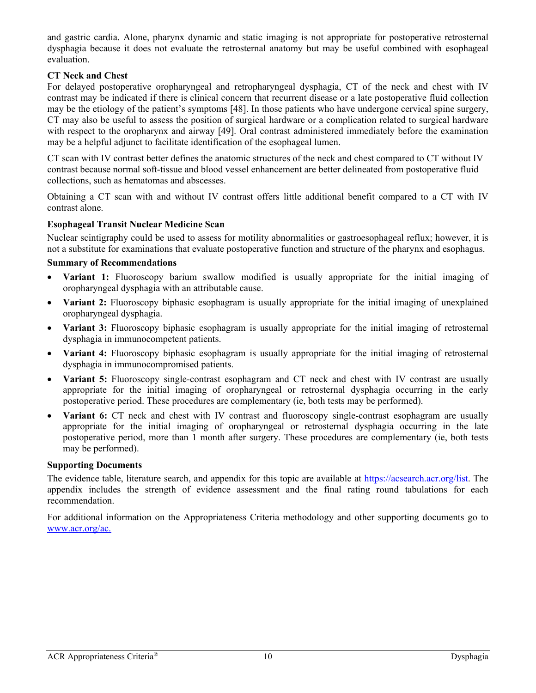and gastric cardia. Alone, pharynx dynamic and static imaging is not appropriate for postoperative retrosternal dysphagia because it does not evaluate the retrosternal anatomy but may be useful combined with esophageal evaluation.

# **CT Neck and Chest**

For delayed postoperative oropharyngeal and retropharyngeal dysphagia, CT of the neck and chest with IV contrast may be indicated if there is clinical concern that recurrent disease or a late postoperative fluid collection may be the etiology of the patient's symptoms [\[48\]](#page-12-16). In those patients who have undergone cervical spine surgery, CT may also be useful to assess the position of surgical hardware or a complication related to surgical hardware with respect to the oropharynx and airway [\[49\]](#page-12-17). Oral contrast administered immediately before the examination may be a helpful adjunct to facilitate identification of the esophageal lumen.

CT scan with IV contrast better defines the anatomic structures of the neck and chest compared to CT without IV contrast because normal soft-tissue and blood vessel enhancement are better delineated from postoperative fluid collections, such as hematomas and abscesses.

Obtaining a CT scan with and without IV contrast offers little additional benefit compared to a CT with IV contrast alone.

## **Esophageal Transit Nuclear Medicine Scan**

Nuclear scintigraphy could be used to assess for motility abnormalities or gastroesophageal reflux; however, it is not a substitute for examinations that evaluate postoperative function and structure of the pharynx and esophagus.

### **Summary of Recommendations**

- **Variant 1:** Fluoroscopy barium swallow modified is usually appropriate for the initial imaging of oropharyngeal dysphagia with an attributable cause.
- **Variant 2:** Fluoroscopy biphasic esophagram is usually appropriate for the initial imaging of unexplained oropharyngeal dysphagia.
- **Variant 3:** Fluoroscopy biphasic esophagram is usually appropriate for the initial imaging of retrosternal dysphagia in immunocompetent patients.
- **Variant 4:** Fluoroscopy biphasic esophagram is usually appropriate for the initial imaging of retrosternal dysphagia in immunocompromised patients.
- **Variant 5:** Fluoroscopy single-contrast esophagram and CT neck and chest with IV contrast are usually appropriate for the initial imaging of oropharyngeal or retrosternal dysphagia occurring in the early postoperative period. These procedures are complementary (ie, both tests may be performed).
- **Variant 6:** CT neck and chest with IV contrast and fluoroscopy single-contrast esophagram are usually appropriate for the initial imaging of oropharyngeal or retrosternal dysphagia occurring in the late postoperative period, more than 1 month after surgery. These procedures are complementary (ie, both tests may be performed).

### **Supporting Documents**

The evidence table, literature search, and appendix for this topic are available at [https://acsearch.acr.org/list.](https://acsearch.acr.org/list) The appendix includes the strength of evidence assessment and the final rating round tabulations for each recommendation.

For additional information on the Appropriateness Criteria methodology and other supporting documents go to [www.acr.org/ac.](https://www.acr.org/Clinical-Resources/ACR-Appropriateness-Criteria)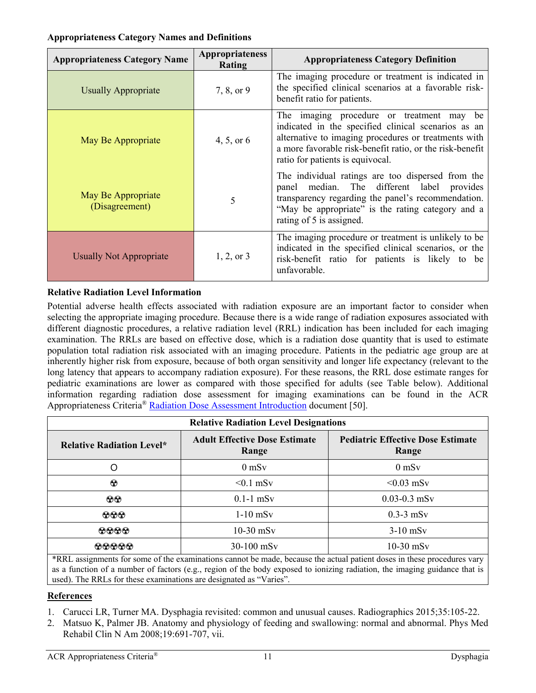## **Appropriateness Category Names and Definitions**

| <b>Appropriateness Category Name</b> | Appropriateness<br>Rating | <b>Appropriateness Category Definition</b>                                                                                                                                                                                                                  |
|--------------------------------------|---------------------------|-------------------------------------------------------------------------------------------------------------------------------------------------------------------------------------------------------------------------------------------------------------|
| <b>Usually Appropriate</b>           | 7, 8, or 9                | The imaging procedure or treatment is indicated in<br>the specified clinical scenarios at a favorable risk-<br>benefit ratio for patients.                                                                                                                  |
| May Be Appropriate                   | 4, 5, or 6                | The imaging procedure or treatment may<br>be<br>indicated in the specified clinical scenarios as an<br>alternative to imaging procedures or treatments with<br>a more favorable risk-benefit ratio, or the risk-benefit<br>ratio for patients is equivocal. |
| May Be Appropriate<br>(Disagreement) | 5                         | The individual ratings are too dispersed from the<br>panel median. The different label provides<br>transparency regarding the panel's recommendation.<br>"May be appropriate" is the rating category and a<br>rating of 5 is assigned.                      |
| <b>Usually Not Appropriate</b>       | $1, 2,$ or 3              | The imaging procedure or treatment is unlikely to be<br>indicated in the specified clinical scenarios, or the<br>risk-benefit ratio for patients is likely to be<br>unfavorable.                                                                            |

# **Relative Radiation Level Information**

Potential adverse health effects associated with radiation exposure are an important factor to consider when selecting the appropriate imaging procedure. Because there is a wide range of radiation exposures associated with different diagnostic procedures, a relative radiation level (RRL) indication has been included for each imaging examination. The RRLs are based on effective dose, which is a radiation dose quantity that is used to estimate population total radiation risk associated with an imaging procedure. Patients in the pediatric age group are at inherently higher risk from exposure, because of both organ sensitivity and longer life expectancy (relevant to the long latency that appears to accompany radiation exposure). For these reasons, the RRL dose estimate ranges for pediatric examinations are lower as compared with those specified for adults (see Table below). Additional information regarding radiation dose assessment for imaging examinations can be found in the ACR Appropriateness Criteria® [Radiation Dose Assessment Introduction](https://www.acr.org/-/media/ACR/Files/Appropriateness-Criteria/RadiationDoseAssessmentIntro.pdf) document [\[50\]](#page-12-18).

| <b>Relative Radiation Level Designations</b> |                                               |                                                   |
|----------------------------------------------|-----------------------------------------------|---------------------------------------------------|
| <b>Relative Radiation Level*</b>             | <b>Adult Effective Dose Estimate</b><br>Range | <b>Pediatric Effective Dose Estimate</b><br>Range |
| O                                            | $0$ mS $v$                                    | $0$ mS $v$                                        |
| $\odot$                                      | $< 0.1$ mSv                                   | $< 0.03$ mSv                                      |
| $\odot\odot$                                 | $0.1-1$ mSv                                   | $0.03 - 0.3$ mSv                                  |
| $\odot \odot \odot$                          | $1-10$ mSv                                    | $0.3-3$ mS <sub>v</sub>                           |
| $\odot\odot\odot$                            | $10-30$ mSv                                   | $3-10$ mS <sub>v</sub>                            |
| 00000<br>$\sim$ $\sim$                       | $30-100$ mS <sub>v</sub>                      | $10-30$ mSv                                       |

\*RRL assignments for some of the examinations cannot be made, because the actual patient doses in these procedures vary as a function of a number of factors (e.g., region of the body exposed to ionizing radiation, the imaging guidance that is used). The RRLs for these examinations are designated as "Varies".

# **References**

- <span id="page-10-0"></span>1. Carucci LR, Turner MA. Dysphagia revisited: common and unusual causes. Radiographics 2015;35:105-22.
- <span id="page-10-1"></span>2. Matsuo K, Palmer JB. Anatomy and physiology of feeding and swallowing: normal and abnormal. Phys Med Rehabil Clin N Am 2008;19:691-707, vii.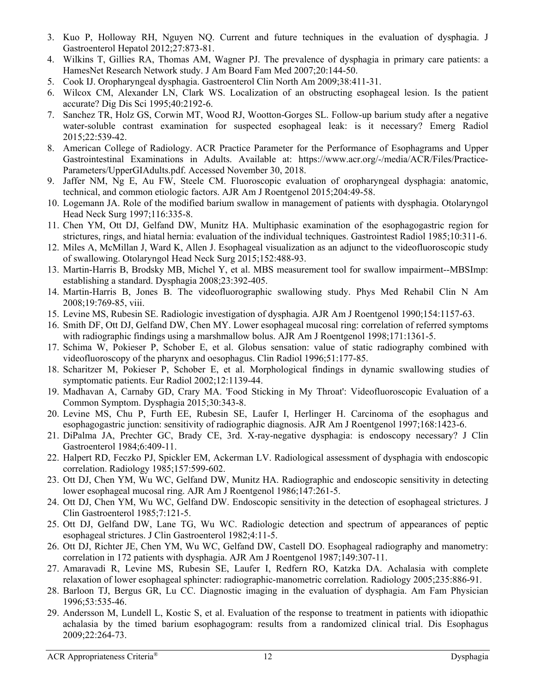- <span id="page-11-0"></span>3. Kuo P, Holloway RH, Nguyen NQ. Current and future techniques in the evaluation of dysphagia. J Gastroenterol Hepatol 2012;27:873-81.
- <span id="page-11-1"></span>4. Wilkins T, Gillies RA, Thomas AM, Wagner PJ. The prevalence of dysphagia in primary care patients: a HamesNet Research Network study. J Am Board Fam Med 2007;20:144-50.
- <span id="page-11-2"></span>5. Cook IJ. Oropharyngeal dysphagia. Gastroenterol Clin North Am 2009;38:411-31.
- <span id="page-11-3"></span>6. Wilcox CM, Alexander LN, Clark WS. Localization of an obstructing esophageal lesion. Is the patient accurate? Dig Dis Sci 1995;40:2192-6.
- <span id="page-11-4"></span>7. Sanchez TR, Holz GS, Corwin MT, Wood RJ, Wootton-Gorges SL. Follow-up barium study after a negative water-soluble contrast examination for suspected esophageal leak: is it necessary? Emerg Radiol 2015;22:539-42.
- <span id="page-11-5"></span>8. American College of Radiology. ACR Practice Parameter for the Performance of Esophagrams and Upper Gastrointestinal Examinations in Adults. Available at: https://www.acr.org/-/media/ACR/Files/Practice-Parameters/UpperGIAdults.pdf. Accessed November 30, 2018.
- <span id="page-11-6"></span>9. Jaffer NM, Ng E, Au FW, Steele CM. Fluoroscopic evaluation of oropharyngeal dysphagia: anatomic, technical, and common etiologic factors. AJR Am J Roentgenol 2015;204:49-58.
- <span id="page-11-7"></span>10. Logemann JA. Role of the modified barium swallow in management of patients with dysphagia. Otolaryngol Head Neck Surg 1997;116:335-8.
- <span id="page-11-8"></span>11. Chen YM, Ott DJ, Gelfand DW, Munitz HA. Multiphasic examination of the esophagogastric region for strictures, rings, and hiatal hernia: evaluation of the individual techniques. Gastrointest Radiol 1985;10:311-6.
- <span id="page-11-9"></span>12. Miles A, McMillan J, Ward K, Allen J. Esophageal visualization as an adjunct to the videofluoroscopic study of swallowing. Otolaryngol Head Neck Surg 2015;152:488-93.
- <span id="page-11-10"></span>13. Martin-Harris B, Brodsky MB, Michel Y, et al. MBS measurement tool for swallow impairment--MBSImp: establishing a standard. Dysphagia 2008;23:392-405.
- <span id="page-11-11"></span>14. Martin-Harris B, Jones B. The videofluorographic swallowing study. Phys Med Rehabil Clin N Am 2008;19:769-85, viii.
- <span id="page-11-12"></span>15. Levine MS, Rubesin SE. Radiologic investigation of dysphagia. AJR Am J Roentgenol 1990;154:1157-63.
- <span id="page-11-13"></span>16. Smith DF, Ott DJ, Gelfand DW, Chen MY. Lower esophageal mucosal ring: correlation of referred symptoms with radiographic findings using a marshmallow bolus. AJR Am J Roentgenol 1998;171:1361-5.
- <span id="page-11-14"></span>17. Schima W, Pokieser P, Schober E, et al. Globus sensation: value of static radiography combined with videofluoroscopy of the pharynx and oesophagus. Clin Radiol 1996;51:177-85.
- <span id="page-11-15"></span>18. Scharitzer M, Pokieser P, Schober E, et al. Morphological findings in dynamic swallowing studies of symptomatic patients. Eur Radiol 2002;12:1139-44.
- <span id="page-11-16"></span>19. Madhavan A, Carnaby GD, Crary MA. 'Food Sticking in My Throat': Videofluoroscopic Evaluation of a Common Symptom. Dysphagia 2015;30:343-8.
- <span id="page-11-17"></span>20. Levine MS, Chu P, Furth EE, Rubesin SE, Laufer I, Herlinger H. Carcinoma of the esophagus and esophagogastric junction: sensitivity of radiographic diagnosis. AJR Am J Roentgenol 1997;168:1423-6.
- <span id="page-11-18"></span>21. DiPalma JA, Prechter GC, Brady CE, 3rd. X-ray-negative dysphagia: is endoscopy necessary? J Clin Gastroenterol 1984;6:409-11.
- <span id="page-11-19"></span>22. Halpert RD, Feczko PJ, Spickler EM, Ackerman LV. Radiological assessment of dysphagia with endoscopic correlation. Radiology 1985;157:599-602.
- <span id="page-11-20"></span>23. Ott DJ, Chen YM, Wu WC, Gelfand DW, Munitz HA. Radiographic and endoscopic sensitivity in detecting lower esophageal mucosal ring. AJR Am J Roentgenol 1986;147:261-5.
- <span id="page-11-21"></span>24. Ott DJ, Chen YM, Wu WC, Gelfand DW. Endoscopic sensitivity in the detection of esophageal strictures. J Clin Gastroenterol 1985;7:121-5.
- <span id="page-11-22"></span>25. Ott DJ, Gelfand DW, Lane TG, Wu WC. Radiologic detection and spectrum of appearances of peptic esophageal strictures. J Clin Gastroenterol 1982;4:11-5.
- <span id="page-11-23"></span>26. Ott DJ, Richter JE, Chen YM, Wu WC, Gelfand DW, Castell DO. Esophageal radiography and manometry: correlation in 172 patients with dysphagia. AJR Am J Roentgenol 1987;149:307-11.
- <span id="page-11-24"></span>27. Amaravadi R, Levine MS, Rubesin SE, Laufer I, Redfern RO, Katzka DA. Achalasia with complete relaxation of lower esophageal sphincter: radiographic-manometric correlation. Radiology 2005;235:886-91.
- <span id="page-11-25"></span>28. Barloon TJ, Bergus GR, Lu CC. Diagnostic imaging in the evaluation of dysphagia. Am Fam Physician 1996;53:535-46.
- <span id="page-11-26"></span>29. Andersson M, Lundell L, Kostic S, et al. Evaluation of the response to treatment in patients with idiopathic achalasia by the timed barium esophagogram: results from a randomized clinical trial. Dis Esophagus 2009;22:264-73.